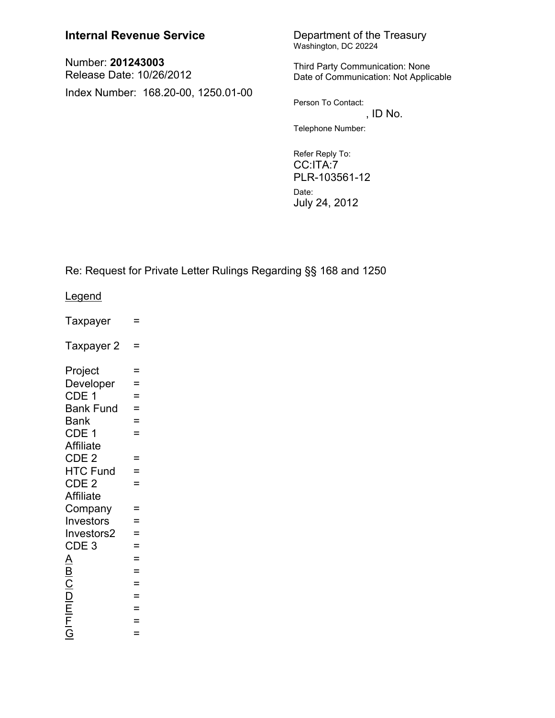## **Internal Revenue Service**

Number: 201243003 Release Date: 10/26/2012 Index Number: 168.20-00, 1250.01-00 Department of the Treasury Washington, DC 20224

Third Party Communication: None Date of Communication: Not Applicable

Person To Contact: , ID No.

Telephone Number:

Refer Reply To: CC:ITA:7 PLR-103561-12 Date: July 24, 2012

Re: Request for Private Letter Rulings Regarding §§ 168 and 1250

hnene I

| <u>Leyenu</u>                        |     |
|--------------------------------------|-----|
| Taxpayer                             | =   |
| Taxpayer 2                           | =   |
| Project                              | $=$ |
| Developer                            | =   |
| CDE 1                                | =   |
| <b>Bank Fund</b>                     | $=$ |
| <b>Bank</b>                          | $=$ |
| CDE 1                                | =   |
| <b>Affiliate</b>                     |     |
| CDE <sub>2</sub>                     | =   |
| <b>HTC Fund</b>                      | $=$ |
| CDE <sub>2</sub>                     | $=$ |
| <b>Affiliate</b>                     |     |
| Company                              | Ξ   |
| Investors                            | $=$ |
| Investors2                           | $=$ |
| CDE <sub>3</sub>                     | =   |
| A                                    | $=$ |
|                                      | $=$ |
| $\frac{\overline{B}}{\underline{C}}$ | $=$ |
|                                      | $=$ |
| $\frac{\mathsf{D}}{\mathsf{E}}$      | $=$ |
|                                      | =   |
| $\frac{1}{5}$                        | $=$ |
|                                      |     |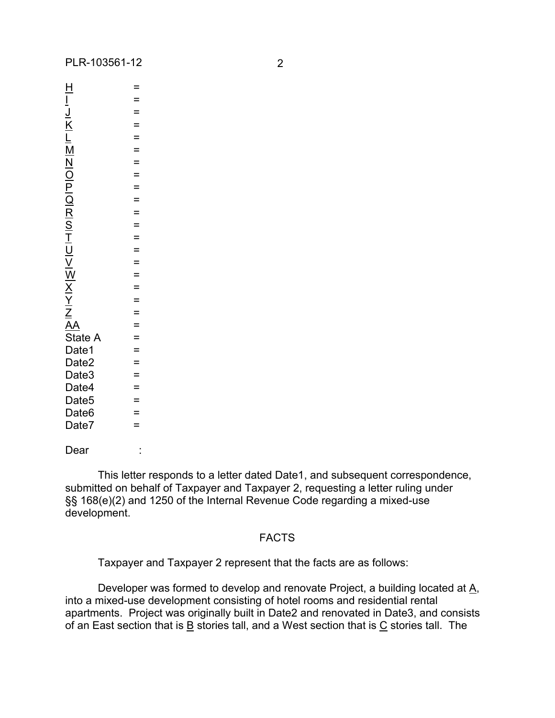|                   | =                 |  |
|-------------------|-------------------|--|
|                   |                   |  |
|                   |                   |  |
|                   |                   |  |
|                   |                   |  |
|                   |                   |  |
|                   |                   |  |
|                   |                   |  |
|                   |                   |  |
|                   |                   |  |
|                   |                   |  |
|                   |                   |  |
|                   |                   |  |
|                   |                   |  |
|                   |                   |  |
|                   |                   |  |
|                   |                   |  |
|                   |                   |  |
|                   | =                 |  |
|                   | $=$               |  |
|                   |                   |  |
|                   | $\equiv$          |  |
|                   |                   |  |
|                   | $=$<br>$=$<br>$=$ |  |
| Date3<br>Date4    |                   |  |
| Date <sub>5</sub> |                   |  |
| Date <sub>6</sub> | =                 |  |
| Date7             | =                 |  |
|                   |                   |  |
| Dear              |                   |  |

This letter responds to a letter dated Date1, and subsequent correspondence, submitted on behalf of Taxpayer and Taxpayer 2, requesting a letter ruling under §§ 168(e)(2) and 1250 of the Internal Revenue Code regarding a mixed-use development.

## FACTS

Taxpayer and Taxpayer 2 represent that the facts are as follows:

Developer was formed to develop and renovate Project, a building located at A, into a mixed-use development consisting of hotel rooms and residential rental apartments. Project was originally built in Date2 and renovated in Date3, and consists of an East section that is  $\underline{B}$  stories tall, and a West section that is  $\underline{C}$  stories tall. The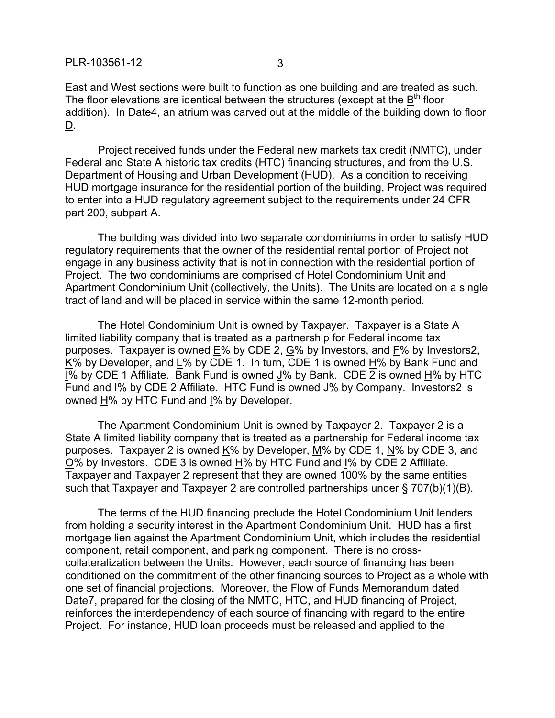PLR-103561-12 3

East and West sections were built to function as one building and are treated as such. The floor elevations are identical between the structures (except at the  $\underline{B}^{\text{th}}$  floor addition). In Date4, an atrium was carved out at the middle of the building down to floor D.

Project received funds under the Federal new markets tax credit (NMTC), under Federal and State A historic tax credits (HTC) financing structures, and from the U.S. Department of Housing and Urban Development (HUD). As a condition to receiving HUD mortgage insurance for the residential portion of the building, Project was required to enter into a HUD regulatory agreement subject to the requirements under 24 CFR part 200, subpart A.

The building was divided into two separate condominiums in order to satisfy HUD regulatory requirements that the owner of the residential rental portion of Project not engage in any business activity that is not in connection with the residential portion of Project. The two condominiums are comprised of Hotel Condominium Unit and Apartment Condominium Unit (collectively, the Units). The Units are located on a single tract of land and will be placed in service within the same 12-month period.

The Hotel Condominium Unit is owned by Taxpayer. Taxpayer is a State A limited liability company that is treated as a partnership for Federal income tax purposes. Taxpayer is owned E% by CDE 2, G% by Investors, and F% by Investors2, K% by Developer, and L% by CDE 1. In turn, CDE 1 is owned H% by Bank Fund and I% by CDE 1 Affiliate. Bank Fund is owned J% by Bank. CDE 2 is owned H% by HTC Fund and I% by CDE 2 Affiliate. HTC Fund is owned J% by Company. Investors2 is owned H% by HTC Fund and I% by Developer.

The Apartment Condominium Unit is owned by Taxpayer 2. Taxpayer 2 is a State A limited liability company that is treated as a partnership for Federal income tax purposes. Taxpayer 2 is owned K% by Developer, M% by CDE 1, N% by CDE 3, and O% by Investors. CDE 3 is owned H% by HTC Fund and I% by CDE 2 Affiliate. Taxpayer and Taxpayer 2 represent that they are owned 100% by the same entities such that Taxpayer and Taxpayer 2 are controlled partnerships under § 707(b)(1)(B).

The terms of the HUD financing preclude the Hotel Condominium Unit lenders from holding a security interest in the Apartment Condominium Unit. HUD has a first mortgage lien against the Apartment Condominium Unit, which includes the residential component, retail component, and parking component. There is no crosscollateralization between the Units. However, each source of financing has been conditioned on the commitment of the other financing sources to Project as a whole with one set of financial projections. Moreover, the Flow of Funds Memorandum dated Date7, prepared for the closing of the NMTC, HTC, and HUD financing of Project, reinforces the interdependency of each source of financing with regard to the entire Project. For instance, HUD loan proceeds must be released and applied to the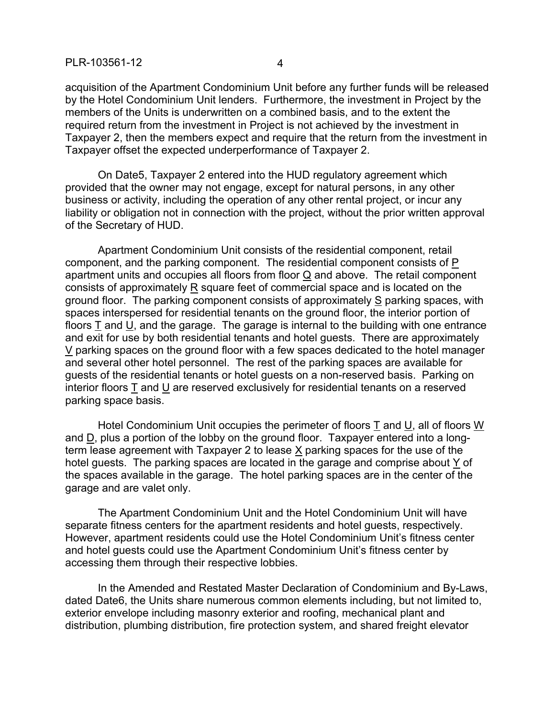acquisition of the Apartment Condominium Unit before any further funds will be released by the Hotel Condominium Unit lenders. Furthermore, the investment in Project by the members of the Units is underwritten on a combined basis, and to the extent the required return from the investment in Project is not achieved by the investment in Taxpayer 2, then the members expect and require that the return from the investment in Taxpayer offset the expected underperformance of Taxpayer 2.

On Date5, Taxpayer 2 entered into the HUD regulatory agreement which provided that the owner may not engage, except for natural persons, in any other business or activity, including the operation of any other rental project, or incur any liability or obligation not in connection with the project, without the prior written approval of the Secretary of HUD.

Apartment Condominium Unit consists of the residential component, retail component, and the parking component. The residential component consists of  $P$ apartment units and occupies all floors from floor Q and above. The retail component consists of approximately R square feet of commercial space and is located on the ground floor. The parking component consists of approximately S parking spaces, with spaces interspersed for residential tenants on the ground floor, the interior portion of floors T and U, and the garage. The garage is internal to the building with one entrance and exit for use by both residential tenants and hotel guests. There are approximately V parking spaces on the ground floor with a few spaces dedicated to the hotel manager and several other hotel personnel. The rest of the parking spaces are available for guests of the residential tenants or hotel guests on a non-reserved basis. Parking on interior floors T and U are reserved exclusively for residential tenants on a reserved parking space basis.

Hotel Condominium Unit occupies the perimeter of floors T and U, all of floors W and D, plus a portion of the lobby on the ground floor. Taxpayer entered into a longterm lease agreement with Taxpayer 2 to lease X parking spaces for the use of the hotel guests. The parking spaces are located in the garage and comprise about Y of the spaces available in the garage. The hotel parking spaces are in the center of the garage and are valet only.

The Apartment Condominium Unit and the Hotel Condominium Unit will have separate fitness centers for the apartment residents and hotel guests, respectively. However, apartment residents could use the Hotel Condominium Unit's fitness center and hotel guests could use the Apartment Condominium Unit's fitness center by accessing them through their respective lobbies.

In the Amended and Restated Master Declaration of Condominium and By-Laws, dated Date6, the Units share numerous common elements including, but not limited to, exterior envelope including masonry exterior and roofing, mechanical plant and distribution, plumbing distribution, fire protection system, and shared freight elevator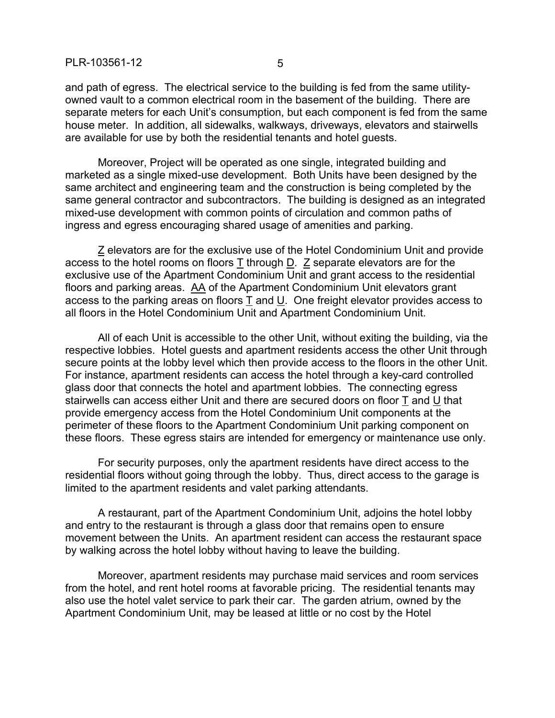and path of egress. The electrical service to the building is fed from the same utilityowned vault to a common electrical room in the basement of the building. There are separate meters for each Unit's consumption, but each component is fed from the same house meter. In addition, all sidewalks, walkways, driveways, elevators and stairwells are available for use by both the residential tenants and hotel guests.

Moreover, Project will be operated as one single, integrated building and marketed as a single mixed-use development. Both Units have been designed by the same architect and engineering team and the construction is being completed by the same general contractor and subcontractors. The building is designed as an integrated mixed-use development with common points of circulation and common paths of ingress and egress encouraging shared usage of amenities and parking.

Z elevators are for the exclusive use of the Hotel Condominium Unit and provide access to the hotel rooms on floors  $\underline{T}$  through  $\underline{D}$ .  $\underline{Z}$  separate elevators are for the exclusive use of the Apartment Condominium Unit and grant access to the residential floors and parking areas. AA of the Apartment Condominium Unit elevators grant access to the parking areas on floors T and U. One freight elevator provides access to all floors in the Hotel Condominium Unit and Apartment Condominium Unit.

All of each Unit is accessible to the other Unit, without exiting the building, via the respective lobbies. Hotel guests and apartment residents access the other Unit through secure points at the lobby level which then provide access to the floors in the other Unit. For instance, apartment residents can access the hotel through a key-card controlled glass door that connects the hotel and apartment lobbies. The connecting egress stairwells can access either Unit and there are secured doors on floor T and U that provide emergency access from the Hotel Condominium Unit components at the perimeter of these floors to the Apartment Condominium Unit parking component on these floors. These egress stairs are intended for emergency or maintenance use only.

For security purposes, only the apartment residents have direct access to the residential floors without going through the lobby. Thus, direct access to the garage is limited to the apartment residents and valet parking attendants.

A restaurant, part of the Apartment Condominium Unit, adjoins the hotel lobby and entry to the restaurant is through a glass door that remains open to ensure movement between the Units. An apartment resident can access the restaurant space by walking across the hotel lobby without having to leave the building.

Moreover, apartment residents may purchase maid services and room services from the hotel, and rent hotel rooms at favorable pricing. The residential tenants may also use the hotel valet service to park their car. The garden atrium, owned by the Apartment Condominium Unit, may be leased at little or no cost by the Hotel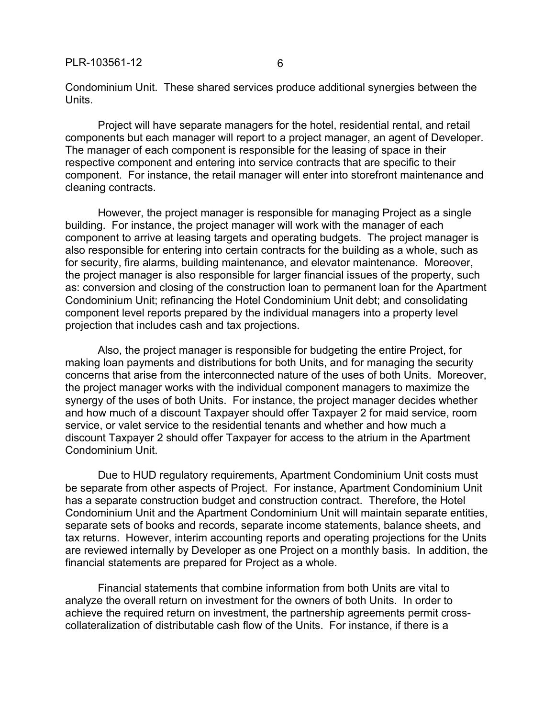Condominium Unit. These shared services produce additional synergies between the Units.

Project will have separate managers for the hotel, residential rental, and retail components but each manager will report to a project manager, an agent of Developer. The manager of each component is responsible for the leasing of space in their respective component and entering into service contracts that are specific to their component. For instance, the retail manager will enter into storefront maintenance and cleaning contracts.

However, the project manager is responsible for managing Project as a single building. For instance, the project manager will work with the manager of each component to arrive at leasing targets and operating budgets. The project manager is also responsible for entering into certain contracts for the building as a whole, such as for security, fire alarms, building maintenance, and elevator maintenance. Moreover, the project manager is also responsible for larger financial issues of the property, such as: conversion and closing of the construction loan to permanent loan for the Apartment Condominium Unit; refinancing the Hotel Condominium Unit debt; and consolidating component level reports prepared by the individual managers into a property level projection that includes cash and tax projections.

Also, the project manager is responsible for budgeting the entire Project, for making loan payments and distributions for both Units, and for managing the security concerns that arise from the interconnected nature of the uses of both Units. Moreover, the project manager works with the individual component managers to maximize the synergy of the uses of both Units. For instance, the project manager decides whether and how much of a discount Taxpayer should offer Taxpayer 2 for maid service, room service, or valet service to the residential tenants and whether and how much a discount Taxpayer 2 should offer Taxpayer for access to the atrium in the Apartment Condominium Unit.

Due to HUD regulatory requirements, Apartment Condominium Unit costs must be separate from other aspects of Project. For instance, Apartment Condominium Unit has a separate construction budget and construction contract. Therefore, the Hotel Condominium Unit and the Apartment Condominium Unit will maintain separate entities, separate sets of books and records, separate income statements, balance sheets, and tax returns. However, interim accounting reports and operating projections for the Units are reviewed internally by Developer as one Project on a monthly basis. In addition, the financial statements are prepared for Project as a whole.

Financial statements that combine information from both Units are vital to analyze the overall return on investment for the owners of both Units. In order to achieve the required return on investment, the partnership agreements permit crosscollateralization of distributable cash flow of the Units. For instance, if there is a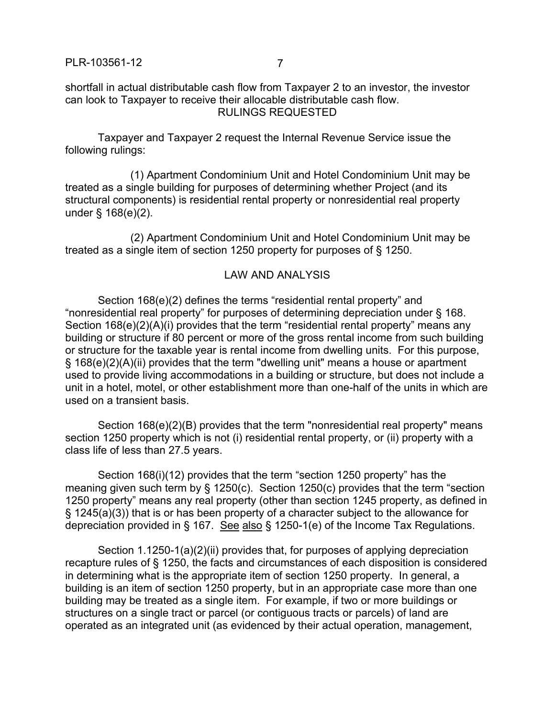shortfall in actual distributable cash flow from Taxpayer 2 to an investor, the investor can look to Taxpayer to receive their allocable distributable cash flow. RULINGS REQUESTED

Taxpayer and Taxpayer 2 request the Internal Revenue Service issue the following rulings:

(1) Apartment Condominium Unit and Hotel Condominium Unit may be treated as a single building for purposes of determining whether Project (and its structural components) is residential rental property or nonresidential real property under § 168(e)(2).

(2) Apartment Condominium Unit and Hotel Condominium Unit may be treated as a single item of section 1250 property for purposes of § 1250.

## LAW AND ANALYSIS

Section 168(e)(2) defines the terms "residential rental property" and "nonresidential real property" for purposes of determining depreciation under § 168. Section 168(e)(2)(A)(i) provides that the term "residential rental property" means any building or structure if 80 percent or more of the gross rental income from such building or structure for the taxable year is rental income from dwelling units. For this purpose, § 168(e)(2)(A)(ii) provides that the term "dwelling unit" means a house or apartment used to provide living accommodations in a building or structure, but does not include a unit in a hotel, motel, or other establishment more than one-half of the units in which are used on a transient basis.

Section 168(e)(2)(B) provides that the term "nonresidential real property" means section 1250 property which is not (i) residential rental property, or (ii) property with a class life of less than 27.5 years.

Section 168(i)(12) provides that the term "section 1250 property" has the meaning given such term by § 1250(c). Section 1250(c) provides that the term "section 1250 property" means any real property (other than section 1245 property, as defined in § 1245(a)(3)) that is or has been property of a character subject to the allowance for depreciation provided in § 167. See also § 1250-1(e) of the Income Tax Regulations.

Section 1.1250-1(a)(2)(ii) provides that, for purposes of applying depreciation recapture rules of § 1250, the facts and circumstances of each disposition is considered in determining what is the appropriate item of section 1250 property. In general, a building is an item of section 1250 property, but in an appropriate case more than one building may be treated as a single item. For example, if two or more buildings or structures on a single tract or parcel (or contiguous tracts or parcels) of land are operated as an integrated unit (as evidenced by their actual operation, management,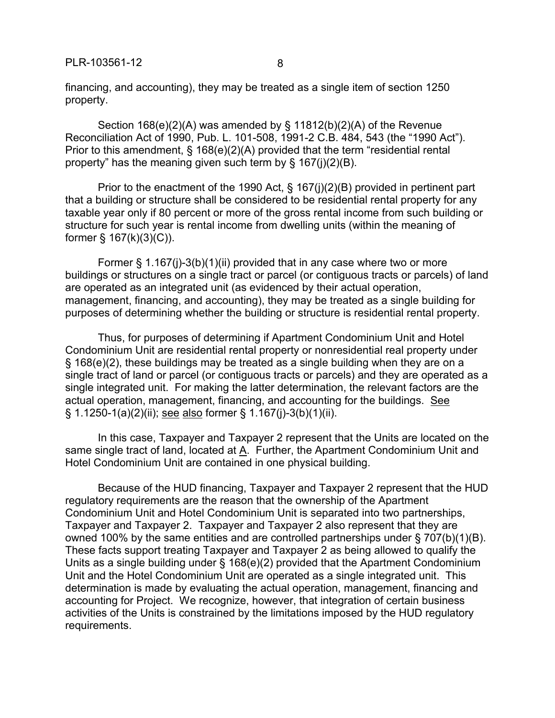PLR-103561-12 8

financing, and accounting), they may be treated as a single item of section 1250 property.

Section 168(e)(2)(A) was amended by § 11812(b)(2)(A) of the Revenue Reconciliation Act of 1990, Pub. L. 101-508, 1991-2 C.B. 484, 543 (the "1990 Act"). Prior to this amendment, § 168(e)(2)(A) provided that the term "residential rental property" has the meaning given such term by § 167(j)(2)(B).

Prior to the enactment of the 1990 Act, § 167(j)(2)(B) provided in pertinent part that a building or structure shall be considered to be residential rental property for any taxable year only if 80 percent or more of the gross rental income from such building or structure for such year is rental income from dwelling units (within the meaning of former  $\S$  167(k)(3)(C)).

Former § 1.167(j)-3(b)(1)(ii) provided that in any case where two or more buildings or structures on a single tract or parcel (or contiguous tracts or parcels) of land are operated as an integrated unit (as evidenced by their actual operation, management, financing, and accounting), they may be treated as a single building for purposes of determining whether the building or structure is residential rental property.

Thus, for purposes of determining if Apartment Condominium Unit and Hotel Condominium Unit are residential rental property or nonresidential real property under § 168(e)(2), these buildings may be treated as a single building when they are on a single tract of land or parcel (or contiguous tracts or parcels) and they are operated as a single integrated unit. For making the latter determination, the relevant factors are the actual operation, management, financing, and accounting for the buildings. See § 1.1250-1(a)(2)(ii); see also former § 1.167(j)-3(b)(1)(ii).

In this case, Taxpayer and Taxpayer 2 represent that the Units are located on the same single tract of land, located at A. Further, the Apartment Condominium Unit and Hotel Condominium Unit are contained in one physical building.

Because of the HUD financing, Taxpayer and Taxpayer 2 represent that the HUD regulatory requirements are the reason that the ownership of the Apartment Condominium Unit and Hotel Condominium Unit is separated into two partnerships, Taxpayer and Taxpayer 2. Taxpayer and Taxpayer 2 also represent that they are owned 100% by the same entities and are controlled partnerships under § 707(b)(1)(B). These facts support treating Taxpayer and Taxpayer 2 as being allowed to qualify the Units as a single building under § 168(e)(2) provided that the Apartment Condominium Unit and the Hotel Condominium Unit are operated as a single integrated unit. This determination is made by evaluating the actual operation, management, financing and accounting for Project. We recognize, however, that integration of certain business activities of the Units is constrained by the limitations imposed by the HUD regulatory requirements.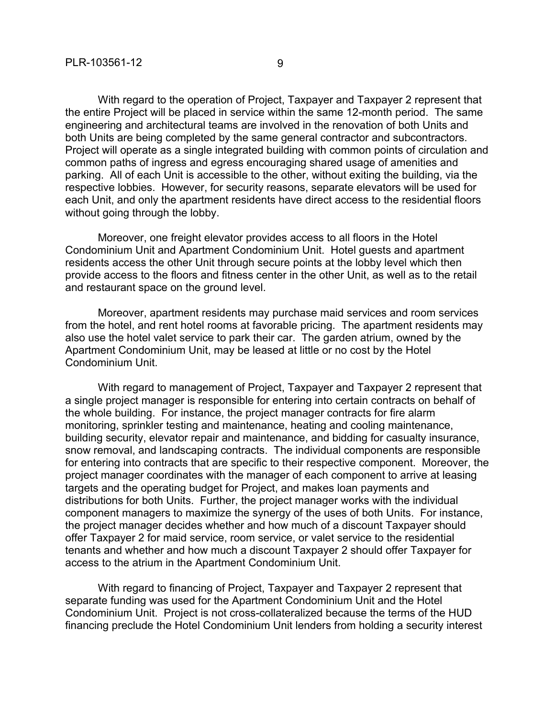without going through the lobby.

With regard to the operation of Project, Taxpayer and Taxpayer 2 represent that the entire Project will be placed in service within the same 12-month period. The same engineering and architectural teams are involved in the renovation of both Units and both Units are being completed by the same general contractor and subcontractors. Project will operate as a single integrated building with common points of circulation and common paths of ingress and egress encouraging shared usage of amenities and parking. All of each Unit is accessible to the other, without exiting the building, via the respective lobbies. However, for security reasons, separate elevators will be used for each Unit, and only the apartment residents have direct access to the residential floors

Moreover, one freight elevator provides access to all floors in the Hotel Condominium Unit and Apartment Condominium Unit. Hotel guests and apartment residents access the other Unit through secure points at the lobby level which then provide access to the floors and fitness center in the other Unit, as well as to the retail and restaurant space on the ground level.

Moreover, apartment residents may purchase maid services and room services from the hotel, and rent hotel rooms at favorable pricing. The apartment residents may also use the hotel valet service to park their car. The garden atrium, owned by the Apartment Condominium Unit, may be leased at little or no cost by the Hotel Condominium Unit.

With regard to management of Project, Taxpayer and Taxpayer 2 represent that a single project manager is responsible for entering into certain contracts on behalf of the whole building. For instance, the project manager contracts for fire alarm monitoring, sprinkler testing and maintenance, heating and cooling maintenance, building security, elevator repair and maintenance, and bidding for casualty insurance, snow removal, and landscaping contracts. The individual components are responsible for entering into contracts that are specific to their respective component. Moreover, the project manager coordinates with the manager of each component to arrive at leasing targets and the operating budget for Project, and makes loan payments and distributions for both Units. Further, the project manager works with the individual component managers to maximize the synergy of the uses of both Units. For instance, the project manager decides whether and how much of a discount Taxpayer should offer Taxpayer 2 for maid service, room service, or valet service to the residential tenants and whether and how much a discount Taxpayer 2 should offer Taxpayer for access to the atrium in the Apartment Condominium Unit.

With regard to financing of Project, Taxpayer and Taxpayer 2 represent that separate funding was used for the Apartment Condominium Unit and the Hotel Condominium Unit. Project is not cross-collateralized because the terms of the HUD financing preclude the Hotel Condominium Unit lenders from holding a security interest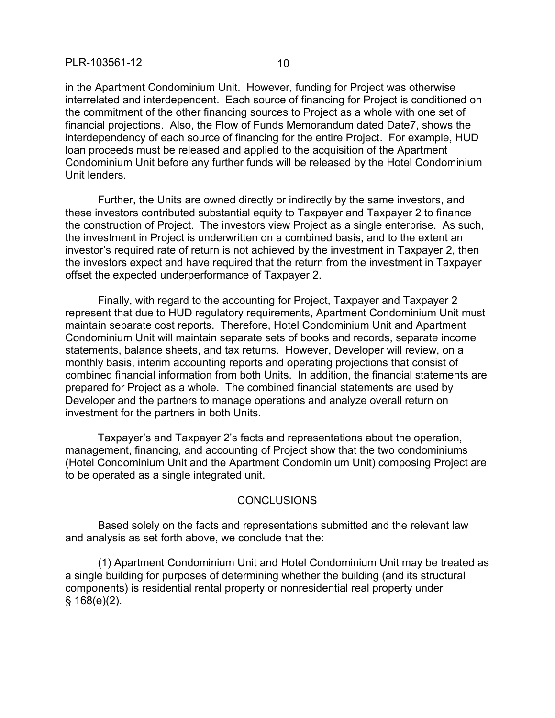in the Apartment Condominium Unit. However, funding for Project was otherwise interrelated and interdependent. Each source of financing for Project is conditioned on the commitment of the other financing sources to Project as a whole with one set of financial projections. Also, the Flow of Funds Memorandum dated Date7, shows the interdependency of each source of financing for the entire Project. For example, HUD loan proceeds must be released and applied to the acquisition of the Apartment Condominium Unit before any further funds will be released by the Hotel Condominium Unit lenders.

Further, the Units are owned directly or indirectly by the same investors, and these investors contributed substantial equity to Taxpayer and Taxpayer 2 to finance the construction of Project. The investors view Project as a single enterprise. As such, the investment in Project is underwritten on a combined basis, and to the extent an investor's required rate of return is not achieved by the investment in Taxpayer 2, then the investors expect and have required that the return from the investment in Taxpayer offset the expected underperformance of Taxpayer 2.

Finally, with regard to the accounting for Project, Taxpayer and Taxpayer 2 represent that due to HUD regulatory requirements, Apartment Condominium Unit must maintain separate cost reports. Therefore, Hotel Condominium Unit and Apartment Condominium Unit will maintain separate sets of books and records, separate income statements, balance sheets, and tax returns. However, Developer will review, on a monthly basis, interim accounting reports and operating projections that consist of combined financial information from both Units. In addition, the financial statements are prepared for Project as a whole. The combined financial statements are used by Developer and the partners to manage operations and analyze overall return on investment for the partners in both Units.

Taxpayer's and Taxpayer 2's facts and representations about the operation, management, financing, and accounting of Project show that the two condominiums (Hotel Condominium Unit and the Apartment Condominium Unit) composing Project are to be operated as a single integrated unit.

## **CONCLUSIONS**

Based solely on the facts and representations submitted and the relevant law and analysis as set forth above, we conclude that the:

(1) Apartment Condominium Unit and Hotel Condominium Unit may be treated as a single building for purposes of determining whether the building (and its structural components) is residential rental property or nonresidential real property under § 168(e)(2).